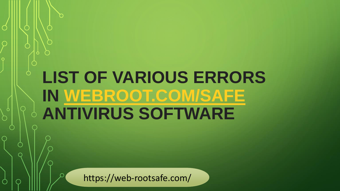# **LIST OF VARIOUS ERRORS IN [WEBROOT.COM/SAFE](https://web-rootsafe.com/)  ANTIVIRUS SOFTWARE**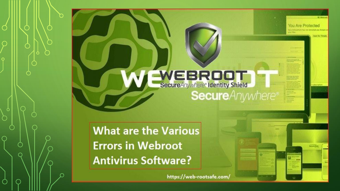## WEBROOT **Secure**Anywhere®

You Are Protected

**What are the Various Errors in Webroot Antivirus Software?**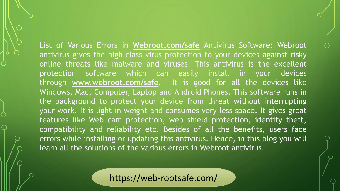List of Various Errors in **[Webroot.com/safe](https://web-rootsafe.com/)** Antivirus Software: Webroot antivirus gives the high-class virus protection to your devices against risky online threats like malware and viruses. This antivirus is the excellent protection software which can easily install in your devices through **[www.webroot.com/safe](https://web-rootsafe.com/)**. It is good for all the devices like Windows, Mac, Computer, Laptop and Android Phones. This software runs in the background to protect your device from threat without interrupting your work. It is light in weight and consumes very less space. It gives great features like Web cam protection, web shield protection, identity theft, compatibility and reliability etc. Besides of all the benefits, users face errors while installing or updating this antivirus. Hence, in this blog you will learn all the solutions of the various errors in Webroot antivirus.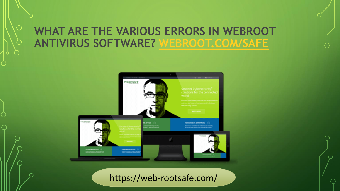#### **WHAT ARE THE VARIOUS ERRORS IN WEBROOT ANTIVIRUS SOFTWARE? [WEBROOT.COM/SAFE](https://web-rootsafe.com/)**

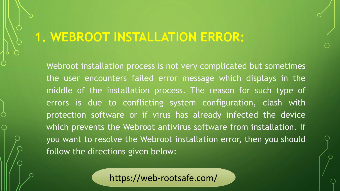#### **1. WEBROOT INSTALLATION ERROR:**

Webroot installation process is not very complicated but sometimes the user encounters failed error message which displays in the middle of the installation process. The reason for such type of errors is due to conflicting system configuration, clash with protection software or if virus has already infected the device which prevents the Webroot antivirus software from installation. If you want to resolve the Webroot installation error, then you should follow the directions given below: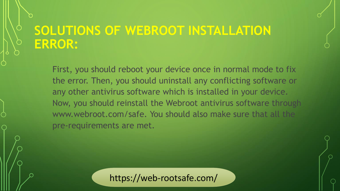#### **SOLUTIONS OF WEBROOT INSTALLATION ERROR:**

First, you should reboot your device once in normal mode to fix the error. Then, you should uninstall any conflicting software or any other antivirus software which is installed in your device. Now, you should reinstall the Webroot antivirus software through www.webroot.com/safe. You should also make sure that all the pre-requirements are met.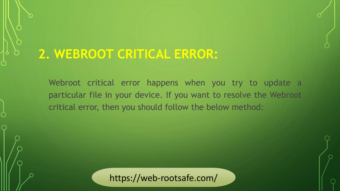#### **2. WEBROOT CRITICAL ERROR:**

Webroot critical error happens when you try to update a particular file in your device. If you want to resolve the Webroot critical error, then you should follow the below method: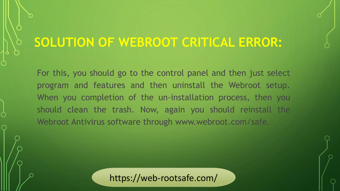### **SOLUTION OF WEBROOT CRITICAL ERROR:**

For this, you should go to the control panel and then just select program and features and then uninstall the Webroot setup. When you completion of the un-installation process, then you should clean the trash. Now, again you should reinstall the Webroot Antivirus software through www.webroot.com/safe.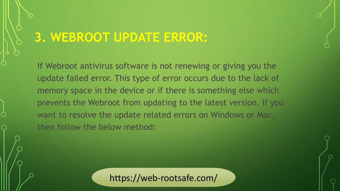### **3. WEBROOT UPDATE ERROR:**

If Webroot antivirus software is not renewing or giving you the update failed error. This type of error occurs due to the lack of memory space in the device or if there is something else which prevents the Webroot from updating to the latest version. If you want to resolve the update related errors on Windows or Mac, then follow the below method: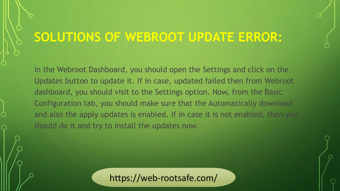#### **SOLUTIONS OF WEBROOT UPDATE ERROR:**

In the Webroot Dashboard, you should open the Settings and click on the Updates button to update it. If in case, updated failed then from Webroot dashboard, you should visit to the Settings option. Now, from the Basic Configuration tab, you should make sure that the Automatically download and also the apply updates is enabled. If in case it is not enabled, then you should do it and try to install the updates now.